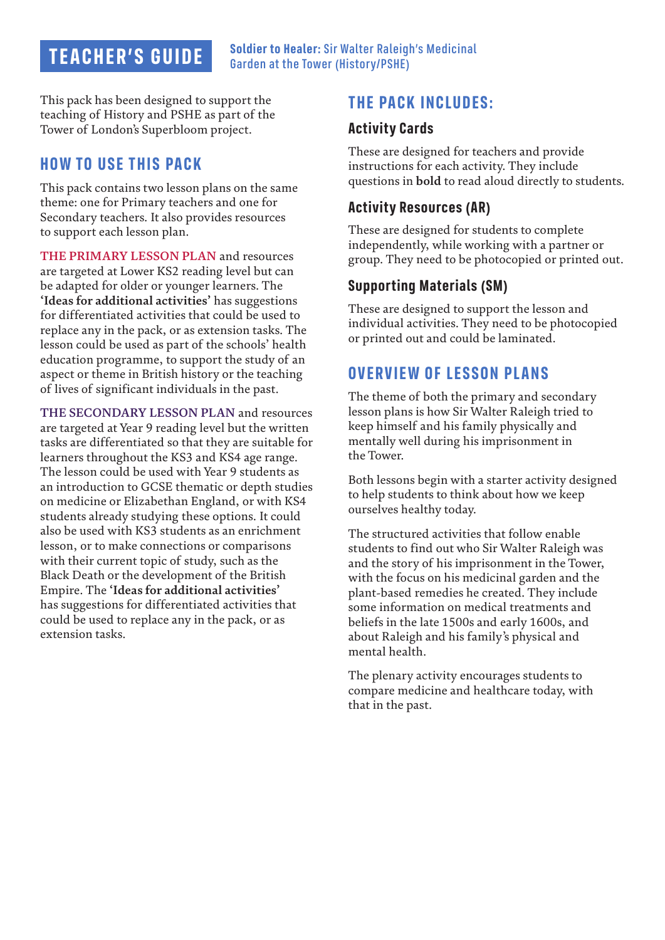# **TEACHER'S GUIDE**

This pack has been designed to support the teaching of History and PSHE as part of the Tower of London's Superbloom project. **Activity Cards** 

### **HOW TO USE THIS PACK**

This pack contains two lesson plans on the same theme: one for Primary teachers and one for Secondary teachers. It also provides resources to support each lesson plan.

**THE PRIMARY LESSON PLAN** and resources are targeted at Lower KS2 reading level but can be adapted for older or younger learners. The **'Ideas for additional activities'** has suggestions for differentiated activities that could be used to replace any in the pack, or as extension tasks. The lesson could be used as part of the schools' health education programme, to support the study of an aspect or theme in British history or the teaching of lives of significant individuals in the past.

**THE SECONDARY LESSON PLAN** and resources are targeted at Year 9 reading level but the written tasks are differentiated so that they are suitable for learners throughout the KS3 and KS4 age range. The lesson could be used with Year 9 students as an introduction to GCSE thematic or depth studies on medicine or Elizabethan England, or with KS4 students already studying these options. It could also be used with KS3 students as an enrichment lesson, or to make connections or comparisons with their current topic of study, such as the Black Death or the development of the British Empire. The **'Ideas for additional activities'** has suggestions for differentiated activities that could be used to replace any in the pack, or as extension tasks.

# **THE PACK INCLUDES:**

These are designed for teachers and provide instructions for each activity. They include questions in **bold** to read aloud directly to students.

#### **Activity Resources (AR)**

These are designed for students to complete independently, while working with a partner or group. They need to be photocopied or printed out.

#### **Supporting Materials (SM)**

These are designed to support the lesson and individual activities. They need to be photocopied or printed out and could be laminated.

### **OVERVIEW OF LESSON PLANS**

The theme of both the primary and secondary lesson plans is how Sir Walter Raleigh tried to keep himself and his family physically and mentally well during his imprisonment in the Tower.

Both lessons begin with a starter activity designed to help students to think about how we keep ourselves healthy today.

The structured activities that follow enable students to find out who Sir Walter Raleigh was and the story of his imprisonment in the Tower, with the focus on his medicinal garden and the plant-based remedies he created. They include some information on medical treatments and beliefs in the late 1500s and early 1600s, and about Raleigh and his family's physical and mental health.

The plenary activity encourages students to compare medicine and healthcare today, with that in the past.